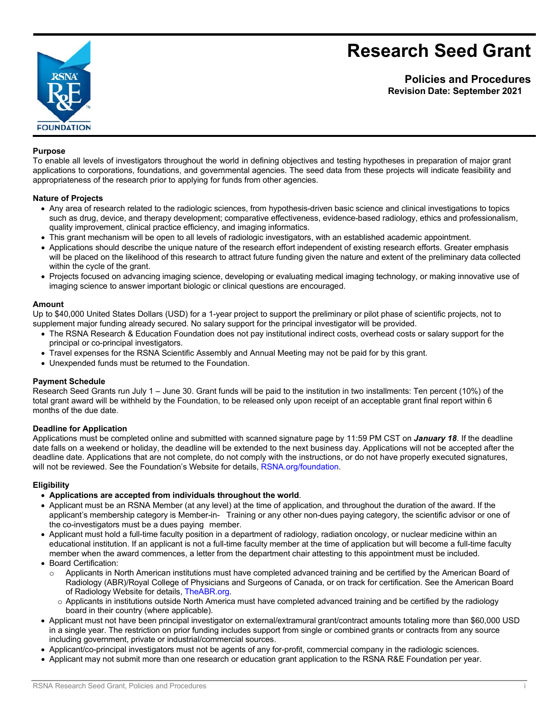# **Research Seed Grant**



**Policies and Procedures Revision Date: September 2021**

### **Purpose**

To enable all levels of investigators throughout the world in defining objectives and testing hypotheses in preparation of major grant applications to corporations, foundations, and governmental agencies. The seed data from these projects will indicate feasibility and appropriateness of the research prior to applying for funds from other agencies.

### **Nature of Projects**

- Any area of research related to the radiologic sciences, from hypothesis-driven basic science and clinical investigations to topics such as drug, device, and therapy development; comparative effectiveness, evidence-based radiology, ethics and professionalism, quality improvement, clinical practice efficiency, and imaging informatics.
- This grant mechanism will be open to all levels of radiologic investigators, with an established academic appointment.
- Applications should describe the unique nature of the research effort independent of existing research efforts. Greater emphasis will be placed on the likelihood of this research to attract future funding given the nature and extent of the preliminary data collected within the cycle of the grant.
- Projects focused on advancing imaging science, developing or evaluating medical imaging technology, or making innovative use of imaging science to answer important biologic or clinical questions are encouraged.

### **Amount**

Up to \$40,000 United States Dollars (USD) for a 1-year project to support the preliminary or pilot phase of scientific projects, not to supplement major funding already secured. No salary support for the principal investigator will be provided.

- The RSNA Research & Education Foundation does not pay institutional indirect costs, overhead costs or salary support for the principal or co-principal investigators.
- Travel expenses for the RSNA Scientific Assembly and Annual Meeting may not be paid for by this grant.
- Unexpended funds must be returned to the Foundation.

### **Payment Schedule**

Research Seed Grants run July 1 – June 30. Grant funds will be paid to the institution in two installments: Ten percent (10%) of the total grant award will be withheld by the Foundation, to be released only upon receipt of an acceptable grant final report within 6 months of the due date.

### **Deadline for Application**

Applications must be completed online and submitted with scanned signature page by 11:59 PM CST on *January 18*. If the deadline date falls on a weekend or holiday, the deadline will be extended to the next business day. Applications will not be accepted after the deadline date. Applications that are not complete, do not comply with the instructions, or do not have properly executed signatures, will not be reviewed. See the Foundation's Website for [details,](http://www.rsna.org/foundation) RSNA.org/foundation.

### **Eligibility**

- **Applications are accepted from individuals throughout the world**.
- Applicant must be an RSNA Member (at any level) at the time of application, and throughout the duration of the award. If the applicant's membership category is Member-in- Training or any other non-dues paying category, the scientific advisor or one of the co-investigators must be a dues paying member.
- Applicant must hold a full-time faculty position in a department of radiology, radiation oncology, or nuclear medicine within an educational institution. If an applicant is not a full-time faculty member at the time of application but will become a full-time faculty member when the award commences, a letter from the department chair attesting to this appointment must be included.
- Board Certification:
	- o Applicants in North American institutions must have completed advanced training and be certified by the American Board of Radiology (ABR)/Royal College of Physicians and Surgeons of Canada, or on track for certification. See the American Board of Radiology Website for details, [TheABR.org.](http://www.theabr.org/)
	- $\circ$  Applicants in institutions outside North America must have completed advanced training and be certified by the radiology board in their country (where applicable).
- Applicant must not have been principal investigator on external/extramural grant/contract amounts totaling more than \$60,000 USD in a single year. The restriction on prior funding includes support from single or combined grants or contracts from any source including government, private or industrial/commercial sources.
- Applicant/co-principal investigators must not be agents of any for-profit, commercial company in the radiologic sciences.
- Applicant may not submit more than one research or education grant application to the RSNA R&E Foundation per year.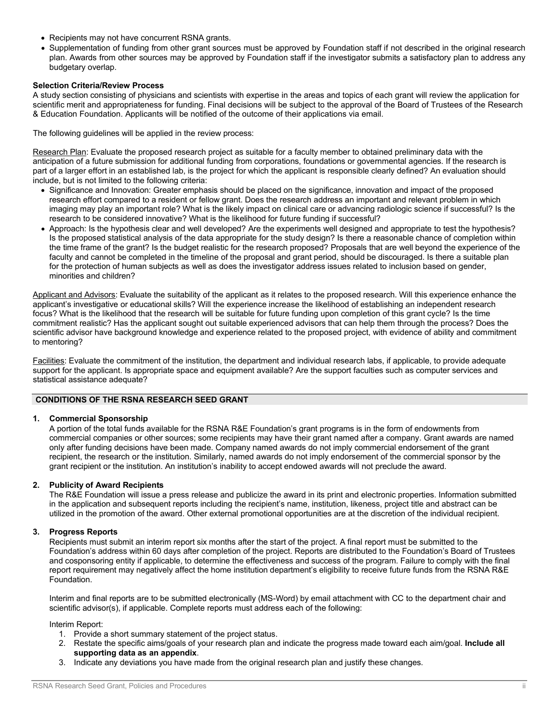- Recipients may not have concurrent RSNA grants.
- Supplementation of funding from other grant sources must be approved by Foundation staff if not described in the original research plan. Awards from other sources may be approved by Foundation staff if the investigator submits a satisfactory plan to address any budgetary overlap.

### **Selection Criteria/Review Process**

A study section consisting of physicians and scientists with expertise in the areas and topics of each grant will review the application for scientific merit and appropriateness for funding. Final decisions will be subject to the approval of the Board of Trustees of the Research & Education Foundation. Applicants will be notified of the outcome of their applications via email.

The following guidelines will be applied in the review process:

Research Plan: Evaluate the proposed research project as suitable for a faculty member to obtained preliminary data with the anticipation of a future submission for additional funding from corporations, foundations or governmental agencies. If the research is part of a larger effort in an established lab, is the project for which the applicant is responsible clearly defined? An evaluation should include, but is not limited to the following criteria:

- Significance and Innovation: Greater emphasis should be placed on the significance, innovation and impact of the proposed research effort compared to a resident or fellow grant. Does the research address an important and relevant problem in which imaging may play an important role? What is the likely impact on clinical care or advancing radiologic science if successful? Is the research to be considered innovative? What is the likelihood for future funding if successful?
- Approach: Is the hypothesis clear and well developed? Are the experiments well designed and appropriate to test the hypothesis? Is the proposed statistical analysis of the data appropriate for the study design? Is there a reasonable chance of completion within the time frame of the grant? Is the budget realistic for the research proposed? Proposals that are well beyond the experience of the faculty and cannot be completed in the timeline of the proposal and grant period, should be discouraged. Is there a suitable plan for the protection of human subjects as well as does the investigator address issues related to inclusion based on gender, minorities and children?

Applicant and Advisors: Evaluate the suitability of the applicant as it relates to the proposed research. Will this experience enhance the applicant's investigative or educational skills? Will the experience increase the likelihood of establishing an independent research focus? What is the likelihood that the research will be suitable for future funding upon completion of this grant cycle? Is the time commitment realistic? Has the applicant sought out suitable experienced advisors that can help them through the process? Does the scientific advisor have background knowledge and experience related to the proposed project, with evidence of ability and commitment to mentoring?

Facilities: Evaluate the commitment of the institution, the department and individual research labs, if applicable, to provide adequate support for the applicant. Is appropriate space and equipment available? Are the support faculties such as computer services and statistical assistance adequate?

### **CONDITIONS OF THE RSNA RESEARCH SEED GRANT**

### **1. Commercial Sponsorship**

A portion of the total funds available for the RSNA R&E Foundation's grant programs is in the form of endowments from commercial companies or other sources; some recipients may have their grant named after a company. Grant awards are named only after funding decisions have been made. Company named awards do not imply commercial endorsement of the grant recipient, the research or the institution. Similarly, named awards do not imply endorsement of the commercial sponsor by the grant recipient or the institution. An institution's inability to accept endowed awards will not preclude the award.

### **2. Publicity of Award Recipients**

The R&E Foundation will issue a press release and publicize the award in its print and electronic properties. Information submitted in the application and subsequent reports including the recipient's name, institution, likeness, project title and abstract can be utilized in the promotion of the award. Other external promotional opportunities are at the discretion of the individual recipient.

### **3. Progress Reports**

Recipients must submit an interim report six months after the start of the project. A final report must be submitted to the Foundation's address within 60 days after completion of the project. Reports are distributed to the Foundation's Board of Trustees and cosponsoring entity if applicable, to determine the effectiveness and success of the program. Failure to comply with the final report requirement may negatively affect the home institution department's eligibility to receive future funds from the RSNA R&E Foundation.

Interim and final reports are to be submitted electronically (MS-Word) by email attachment with CC to the department chair and scientific advisor(s), if applicable. Complete reports must address each of the following:

Interim Report:

- 1. Provide a short summary statement of the project status.
- 2. Restate the specific aims/goals of your research plan and indicate the progress made toward each aim/goal. **Include all supporting data as an appendix**.
- 3. Indicate any deviations you have made from the original research plan and justify these changes.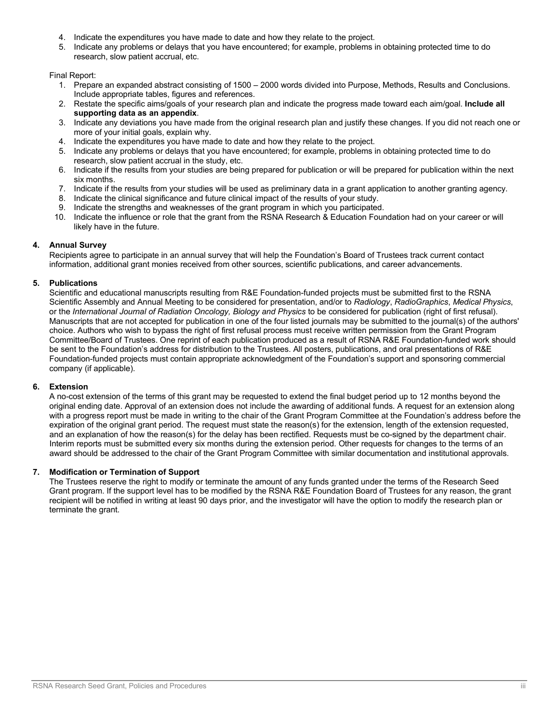- 4. Indicate the expenditures you have made to date and how they relate to the project.
- 5. Indicate any problems or delays that you have encountered; for example, problems in obtaining protected time to do research, slow patient accrual, etc.

Final Report:

- 1. Prepare an expanded abstract consisting of 1500 2000 words divided into Purpose, Methods, Results and Conclusions. Include appropriate tables, figures and references.
- 2. Restate the specific aims/goals of your research plan and indicate the progress made toward each aim/goal. **Include all supporting data as an appendix**.
- 3. Indicate any deviations you have made from the original research plan and justify these changes. If you did not reach one or more of your initial goals, explain why.
- 4. Indicate the expenditures you have made to date and how they relate to the project.
- 5. Indicate any problems or delays that you have encountered; for example, problems in obtaining protected time to do research, slow patient accrual in the study, etc.
- 6. Indicate if the results from your studies are being prepared for publication or will be prepared for publication within the next six months.
- 7. Indicate if the results from your studies will be used as preliminary data in a grant application to another granting agency.
- 8. Indicate the clinical significance and future clinical impact of the results of your study.
- Indicate the strengths and weaknesses of the grant program in which you participated.
- 10. Indicate the influence or role that the grant from the RSNA Research & Education Foundation had on your career or will likely have in the future.

### **4. Annual Survey**

Recipients agree to participate in an annual survey that will help the Foundation's Board of Trustees track current contact information, additional grant monies received from other sources, scientific publications, and career advancements.

### **5. Publications**

Scientific and educational manuscripts resulting from R&E Foundation-funded projects must be submitted first to the RSNA Scientific Assembly and Annual Meeting to be considered for presentation, and/or to *Radiology*, *RadioGraphics*, *Medical Physics*, or the *International Journal of Radiation Oncology, Biology and Physics* to be considered for publication (right of first refusal). Manuscripts that are not accepted for publication in one of the four listed journals may be submitted to the journal(s) of the authors' choice. Authors who wish to bypass the right of first refusal process must receive written permission from the Grant Program Committee/Board of Trustees. One reprint of each publication produced as a result of RSNA R&E Foundation-funded work should be sent to the Foundation's address for distribution to the Trustees. All posters, publications, and oral presentations of R&E Foundation-funded projects must contain appropriate acknowledgment of the Foundation's support and sponsoring commercial company (if applicable).

### **6. Extension**

A no-cost extension of the terms of this grant may be requested to extend the final budget period up to 12 months beyond the original ending date. Approval of an extension does not include the awarding of additional funds. A request for an extension along with a progress report must be made in writing to the chair of the Grant Program Committee at the Foundation's address before the expiration of the original grant period. The request must state the reason(s) for the extension, length of the extension requested, and an explanation of how the reason(s) for the delay has been rectified. Requests must be co-signed by the department chair. Interim reports must be submitted every six months during the extension period. Other requests for changes to the terms of an award should be addressed to the chair of the Grant Program Committee with similar documentation and institutional approvals.

### **7. Modification or Termination of Support**

The Trustees reserve the right to modify or terminate the amount of any funds granted under the terms of the Research Seed Grant program. If the support level has to be modified by the RSNA R&E Foundation Board of Trustees for any reason, the grant recipient will be notified in writing at least 90 days prior, and the investigator will have the option to modify the research plan or terminate the grant.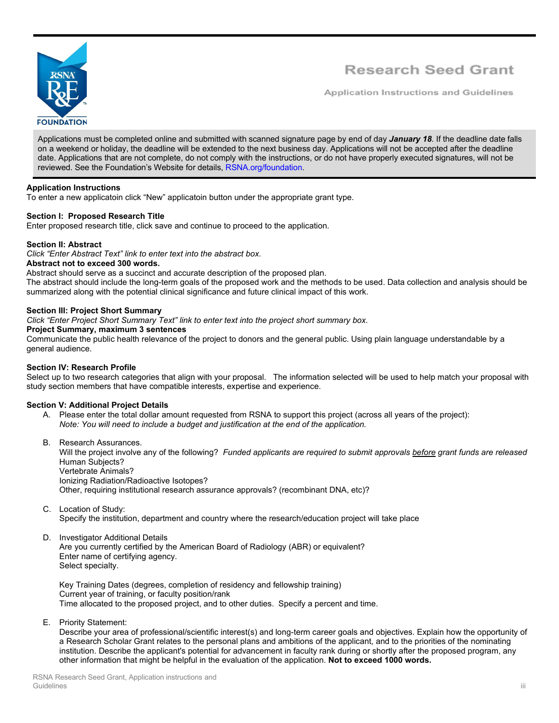

## Research Seed Grant

**Application Instructions and Guidelines** 

Applications must be completed online and submitted with scanned signature page by end of day *January 18*. If the deadline date falls on a weekend or holiday, the deadline will be extended to the next business day. Applications will not be accepted after the deadline date. Applications that are not complete, do not comply with the instructions, or do not have properly executed signatures, will not be reviewed. See the Foundation's Website for details, [RSNA.org/foundation.](http://www.rsna.org/foundation)

### **Application Instructions**

To enter a new applicatoin click "New" applicatoin button under the appropriate grant type.

### **Section I: Proposed Research Title**

Enter proposed research title, click save and continue to proceed to the application.

### **Section II: Abstract**

*Click "Enter Abstract Text" link to enter text into the abstract box.* **Abstract not to exceed 300 words.**

Abstract should serve as a succinct and accurate description of the proposed plan. The abstract should include the long-term goals of the proposed work and the methods to be used. Data collection and analysis should be summarized along with the potential clinical significance and future clinical impact of this work.

### **Section III: Project Short Summary**

*Click "Enter Project Short Summary Text" link to enter text into the project short summary box.*

### **Project Summary, maximum 3 sentences**

Communicate the public health relevance of the project to donors and the general public. Using plain language understandable by a general audience.

### **Section IV: Research Profile**

Select up to two research categories that align with your proposal. The information selected will be used to help match your proposal with study section members that have compatible interests, expertise and experience.

### **Section V: Additional Project Details**

- A. Please enter the total dollar amount requested from RSNA to support this project (across all years of the project): *Note: You will need to include a budget and justification at the end of the application.*
- B. Research Assurances.

Will the project involve any of the following? *Funded applicants are required to submit approvals before grant funds are released*  Human Subjects? Vertebrate Animals? Ionizing Radiation/Radioactive Isotopes?

Other, requiring institutional research assurance approvals? (recombinant DNA, etc)?

C. Location of Study:

Specify the institution, department and country where the research/education project will take place

D. Investigator Additional Details

Are you currently certified by the American Board of Radiology (ABR) or equivalent? Enter name of certifying agency. Select specialty.

Key Training Dates (degrees, completion of residency and fellowship training) Current year of training, or faculty position/rank Time allocated to the proposed project, and to other duties. Specify a percent and time.

E. Priority Statement:

Describe your area of professional/scientific interest(s) and long-term career goals and objectives. Explain how the opportunity of a Research Scholar Grant relates to the personal plans and ambitions of the applicant, and to the priorities of the nominating institution. Describe the applicant's potential for advancement in faculty rank during or shortly after the proposed program, any other information that might be helpful in the evaluation of the application. **Not to exceed 1000 words.**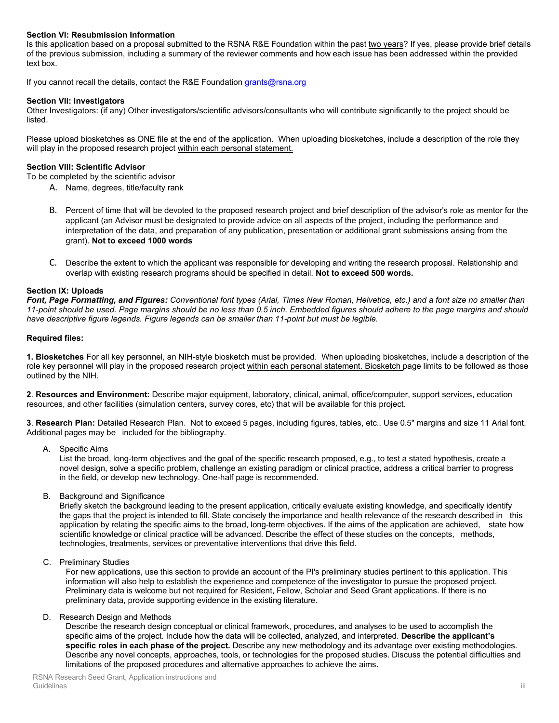### **Section VI: Resubmission Information**

Is this application based on a proposal submitted to the RSNA R&E Foundation within the past two years? If yes, please provide brief details of the previous submission, including a summary of the reviewer comments and how each issue has been addressed within the provided text box.

If you cannot recall the details, contact the R&E Foundation [grants@rsna.org](mailto:grants@rsna.org)

### **Section VII: Investigators**

Other Investigators: (if any) Other investigators/scientific advisors/consultants who will contribute significantly to the project should be listed.

Please upload biosketches as ONE file at the end of the application. When uploading biosketches, include a description of the role they will play in the proposed research project within each personal statement.

### **Section VIII: Scientific Advisor**

To be completed by the scientific advisor

- A. Name, degrees, title/faculty rank
- B. Percent of time that will be devoted to the proposed research project and brief description of the advisor's role as mentor for the applicant (an Advisor must be designated to provide advice on all aspects of the project, including the performance and interpretation of the data, and preparation of any publication, presentation or additional grant submissions arising from the grant). **Not to exceed 1000 words**
- C. Describe the extent to which the applicant was responsible for developing and writing the research proposal. Relationship and overlap with existing research programs should be specified in detail. **Not to exceed 500 words.**

### **Section IX: Uploads**

*Font, Page Formatting, and Figures: Conventional font types (Arial, Times New Roman, Helvetica, etc.) and a font size no smaller than 11-point should be used. Page margins should be no less than 0.5 inch. Embedded figures should adhere to the page margins and should have descriptive figure legends. Figure legends can be smaller than 11-point but must be legible.*

### **Required files:**

**1. Biosketches** For all key personnel, an NIH-style biosketch must be provided. When uploading biosketches, include a description of the role key personnel will play in the proposed research project within each personal statement. Biosketch page limits to be followed as those outlined by the NIH.

**2**. **Resources and Environment:** Describe major equipment, laboratory, clinical, animal, office/computer, support services, education resources, and other facilities (simulation centers, survey cores, etc) that will be available for this project.

**3**. **Research Plan:** Detailed Research Plan. Not to exceed 5 pages, including figures, tables, etc.. Use 0.5" margins and size 11 Arial font. Additional pages may be included for the bibliography.

A. Specific Aims

List the broad, long-term objectives and the goal of the specific research proposed, e.g., to test a stated hypothesis, create a novel design, solve a specific problem, challenge an existing paradigm or clinical practice, address a critical barrier to progress in the field, or develop new technology. One-half page is recommended.

B. Background and Significance

Briefly sketch the background leading to the present application, critically evaluate existing knowledge, and specifically identify the gaps that the project is intended to fill. State concisely the importance and health relevance of the research described in this application by relating the specific aims to the broad, long-term objectives. If the aims of the application are achieved, state how scientific knowledge or clinical practice will be advanced. Describe the effect of these studies on the concepts, methods, technologies, treatments, services or preventative interventions that drive this field.

C. Preliminary Studies

For new applications, use this section to provide an account of the PI's preliminary studies pertinent to this application. This information will also help to establish the experience and competence of the investigator to pursue the proposed project. Preliminary data is welcome but not required for Resident, Fellow, Scholar and Seed Grant applications. If there is no preliminary data, provide supporting evidence in the existing literature.

### D. Research Design and Methods

Describe the research design conceptual or clinical framework, procedures, and analyses to be used to accomplish the specific aims of the project. Include how the data will be collected, analyzed, and interpreted. **Describe the applicant's specific roles in each phase of the project.** Describe any new methodology and its advantage over existing methodologies. Describe any novel concepts, approaches, tools, or technologies for the proposed studies. Discuss the potential difficulties and limitations of the proposed procedures and alternative approaches to achieve the aims.